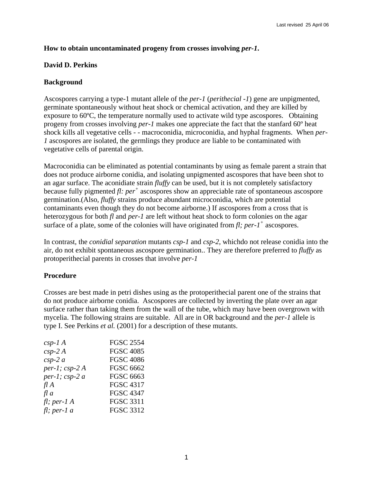# **How to obtain uncontaminated progeny from crosses involving** *per-1***.**

## **David D. Perkins**

## **Background**

Ascospores carrying a type-1 mutant allele of the *per-1* (*perithecial -1*) gene are unpigmented, germinate spontaneously without heat shock or chemical activation, and they are killed by exposure to 60ºC, the temperature normally used to activate wild type ascospores. Obtaining progeny from crosses involving *per-1* makes one appreciate the fact that the stanfard 60º heat shock kills all vegetative cells - - macroconidia, microconidia, and hyphal fragments. When *per-1* ascospores are isolated, the germlings they produce are liable to be contaminated with vegetative cells of parental origin.

Macroconidia can be eliminated as potential contaminants by using as female parent a strain that does not produce airborne conidia, and isolating unpigmented ascospores that have been shot to an agar surface. The aconidiate strain *fluffy* can be used, but it is not completely satisfactory because fully pigmented *fl: per +* ascospores show an appreciable rate of spontaneous ascospore germination.(Also, *fluffy* strains produce abundant microconidia, which are potential contaminants even though they do not become airborne.) If ascospores from a cross that is heterozygous for both *fl* and *per-1* are left without heat shock to form colonies on the agar surface of a plate, some of the colonies will have originated from *fl; per-1+* ascospores.

In contrast, the *conidial separation* mutants *csp-1* and *csp-2*, whichdo not release conidia into the air, do not exhibit spontaneous ascospore germination.. They are therefore preferred to *fluffy* as protoperithecial parents in crosses that involve *per-1*

#### **Procedure**

Crosses are best made in petri dishes using as the protoperithecial parent one of the strains that do not produce airborne conidia. Ascospores are collected by inverting the plate over an agar surface rather than taking them from the wall of the tube, which may have been overgrown with mycelia. The following strains are suitable. All are in OR background and the *per-1* allele is type I. See Perkins *et al.* (2001) for a description of these mutants.

| $csp-1A$        | <b>FGSC 2554</b> |
|-----------------|------------------|
| $csp-2A$        | <b>FGSC 4085</b> |
| $csp-2a$        | <b>FGSC 4086</b> |
| per-1; $csp-2A$ | <b>FGSC 6662</b> |
| per-1; $csp-2a$ | <b>FGSC 6663</b> |
| $f\!I\,A$       | <b>FGSC 4317</b> |
| f a             | <b>FGSC 4347</b> |
| fl; per-1 A     | <b>FGSC 3311</b> |
| $fl$ ; per-1 a  | <b>FGSC 3312</b> |
|                 |                  |